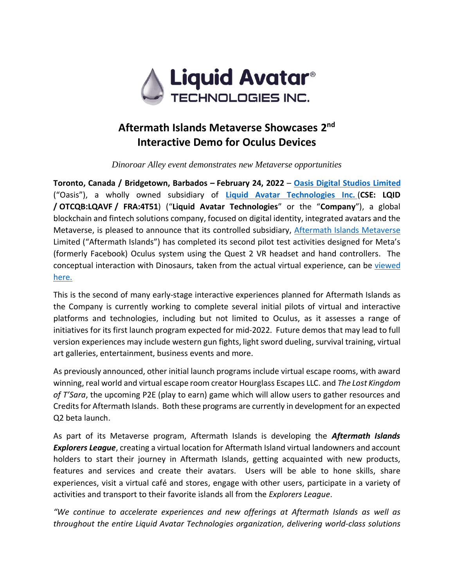

# **Aftermath Islands Metaverse Showcases 2 nd Interactive Demo for Oculus Devices**

*Dinoroar Alley event demonstrates new Metaverse opportunities*

**Toronto, Canada / Bridgetown, Barbados – February 24, 2022** – **[Oasis Digital Studios](https://oasisdigitalstudios.com/) Limited** ("Oasis"), a wholly owned subsidiary of **[Liquid Avatar Technologies Inc.](https://liquidavatartechnologies.com/)** (**CSE: LQID / OTCQB:LQAVF / FRA:4T51**) ("**Liquid Avatar Technologies**" or the "**Company**"), a global blockchain and fintech solutions company, focused on digital identity, integrated avatars and the Metaverse, is pleased to announce that its controlled subsidiary, [Aftermath Islands Metaverse](http://www.aftermathislands.com/) Limited ("Aftermath Islands") has completed its second pilot test activities designed for Meta's (formerly Facebook) Oculus system using the Quest 2 VR headset and hand controllers. The conceptual interaction with Dinosaurs, taken from the actual virtual experience, can be viewed [here.](https://www.youtube.com/watch?v=1J3BD_UZRW4)

This is the second of many early-stage interactive experiences planned for Aftermath Islands as the Company is currently working to complete several initial pilots of virtual and interactive platforms and technologies, including but not limited to Oculus, as it assesses a range of initiatives for its first launch program expected for mid-2022. Future demos that may lead to full version experiences may include western gun fights, light sword dueling, survival training, virtual art galleries, entertainment, business events and more.

As previously announced, other initial launch programs include virtual escape rooms, with award winning, real world and virtual escape room creator Hourglass Escapes LLC. and *The Lost Kingdom of T'Sara*, the upcoming P2E (play to earn) game which will allow users to gather resources and Credits for Aftermath Islands. Both these programs are currently in development for an expected Q2 beta launch.

As part of its Metaverse program, Aftermath Islands is developing the *Aftermath Islands Explorers League*, creating a virtual location for Aftermath Island virtual landowners and account holders to start their journey in Aftermath Islands, getting acquainted with new products, features and services and create their avatars. Users will be able to hone skills, share experiences, visit a virtual café and stores, engage with other users, participate in a variety of activities and transport to their favorite islands all from the *Explorers League*.

*"We continue to accelerate experiences and new offerings at Aftermath Islands as well as throughout the entire Liquid Avatar Technologies organization, delivering world-class solutions*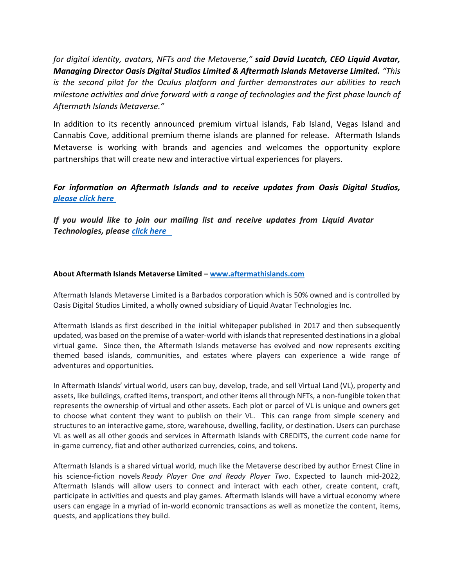*for digital identity, avatars, NFTs and the Metaverse," said David Lucatch, CEO Liquid Avatar, Managing Director Oasis Digital Studios Limited & Aftermath Islands Metaverse Limited. "This is the second pilot for the Oculus platform and further demonstrates our abilities to reach milestone activities and drive forward with a range of technologies and the first phase launch of Aftermath Islands Metaverse."*

In addition to its recently announced premium virtual islands, Fab Island, Vegas Island and Cannabis Cove, additional premium theme islands are planned for release. Aftermath Islands Metaverse is working with brands and agencies and welcomes the opportunity explore partnerships that will create new and interactive virtual experiences for players.

## *For information on Aftermath Islands and to receive updates from Oasis Digital Studios, please [click here](https://share.hsforms.com/1bSgqjoO8SjmF58FU9WhPyA4rqa5)*

*If you would like to join our mailing list and receive updates from Liquid Avatar Technologies, please [click here](https://hello.liquidavatar.com/liquid-avatar-updates)* 

### **About Aftermath Islands Metaverse Limited – [www.aftermathislands.com](https://aftermathislands.com/)**

Aftermath Islands Metaverse Limited is a Barbados corporation which is 50% owned and is controlled by Oasis Digital Studios Limited, a wholly owned subsidiary of Liquid Avatar Technologies Inc.

Aftermath Islands as first described in the initial whitepaper published in 2017 and then subsequently updated, was based on the premise of a water-world with islands that represented destinations in a global virtual game. Since then, the Aftermath Islands metaverse has evolved and now represents exciting themed based islands, communities, and estates where players can experience a wide range of adventures and opportunities.

In Aftermath Islands' virtual world, users can buy, develop, trade, and sell Virtual Land (VL), property and assets, like buildings, crafted items, transport, and other items all through NFTs, a non-fungible token that represents the ownership of virtual and other assets. Each plot or parcel of VL is unique and owners get to choose what content they want to publish on their VL. This can range from simple scenery and structures to an interactive game, store, warehouse, dwelling, facility, or destination. Users can purchase VL as well as all other goods and services in Aftermath Islands with CREDITS, the current code name for in-game currency, fiat and other authorized currencies, coins, and tokens.

Aftermath Islands is a shared virtual world, much like the Metaverse described by author Ernest Cline in his science-fiction novels *Ready Player One and Ready Player Two*. Expected to launch mid-2022, Aftermath Islands will allow users to connect and interact with each other, create content, craft, participate in activities and quests and play games. Aftermath Islands will have a virtual economy where users can engage in a myriad of in-world economic transactions as well as monetize the content, items, quests, and applications they build.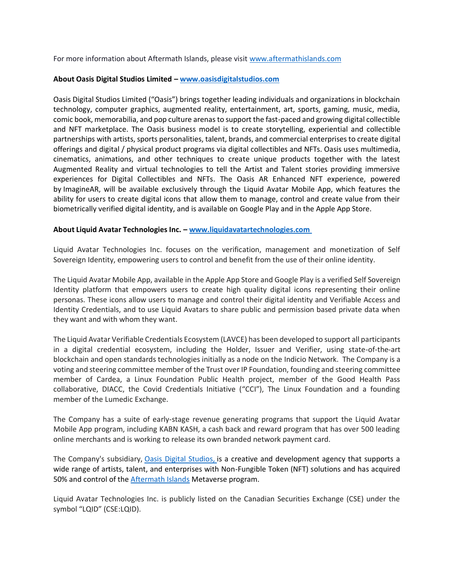For more information about Aftermath Islands, please visit [www.aftermathislands.com](https://aftermathislands.com/)

#### **About Oasis Digital Studios Limited – [www.oasisdigitalstudios.com](https://oasisdigitalstudios.com/)**

Oasis Digital Studios Limited ("Oasis") brings together leading individuals and organizations in blockchain technology, computer graphics, augmented reality, entertainment, art, sports, gaming, music, media, comic book, memorabilia, and pop culture arenas to support the fast-paced and growing digital collectible and NFT marketplace. The Oasis business model is to create storytelling, experiential and collectible partnerships with artists, sports personalities, talent, brands, and commercial enterprises to create digital offerings and digital / physical product programs via digital collectibles and NFTs. Oasis uses multimedia, cinematics, animations, and other techniques to create unique products together with the latest Augmented Reality and virtual technologies to tell the Artist and Talent stories providing immersive experiences for Digital Collectibles and NFTs. The Oasis AR Enhanced NFT experience, powered by ImagineAR, will be available exclusively through the Liquid Avatar Mobile App, which features the ability for users to create digital icons that allow them to manage, control and create value from their biometrically verified digital identity, and is available on Google Play and in the Apple App Store.

#### **About Liquid Avatar Technologies Inc. – [www.liquidavatartechnologies.com](https://liquidavatartechnologies.com/)**

Liquid Avatar Technologies Inc. focuses on the verification, management and monetization of Self Sovereign Identity, empowering users to control and benefit from the use of their online identity.

The Liquid Avatar Mobile App, available in the Apple App Store and Google Play is a verified Self Sovereign Identity platform that empowers users to create high quality digital icons representing their online personas. These icons allow users to manage and control their digital identity and Verifiable Access and Identity Credentials, and to use Liquid Avatars to share public and permission based private data when they want and with whom they want.

The Liquid Avatar Verifiable Credentials Ecosystem (LAVCE) has been developed to support all participants in a digital credential ecosystem, including the Holder, Issuer and Verifier, using state-of-the-art blockchain and open standards technologies initially as a node on the Indicio Network. The Company is a voting and steering committee member of the Trust over IP Foundation, founding and steering committee member of Cardea, a Linux Foundation Public Health project, member of the Good Health Pass collaborative, DIACC, the Covid Credentials Initiative ("CCI"), The Linux Foundation and a founding member of the Lumedic Exchange.

The Company has a suite of early-stage revenue generating programs that support the Liquid Avatar Mobile App program, including KABN KASH, a cash back and reward program that has over 500 leading online merchants and is working to release its own branded network payment card.

The Company's subsidiary, [Oasis Digital Studios,](https://oasisdigitalstudios.com/) is a creative and development agency that supports a wide range of artists, talent, and enterprises with Non-Fungible Token (NFT) solutions and has acquired 50% and control of the [Aftermath Islands](http://www.aftermathislands.com/) Metaverse program.

Liquid Avatar Technologies Inc. is publicly listed on the Canadian Securities Exchange (CSE) under the symbol "LQID" (CSE:LQID).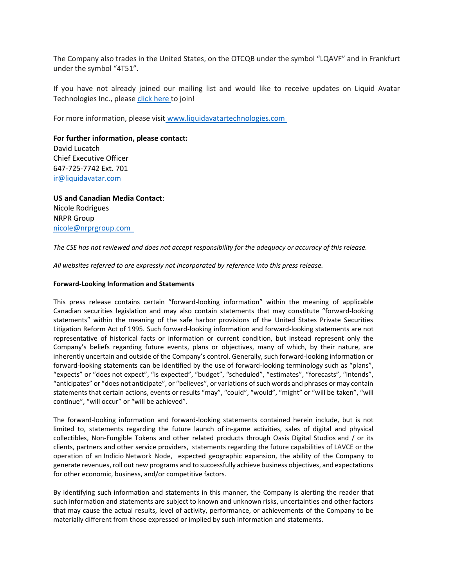The Company also trades in the United States, on the OTCQB under the symbol "LQAVF" and in Frankfurt under the symbol "4T51".

If you have not already joined our mailing list and would like to receive updates on Liquid Avatar Technologies Inc., please [click here](https://hello.liquidavatar.com/liquid-avatar-updates) to join!

For more information, please visit [www.liquidavatartechnologies.com](https://liquidavatartechnologies.com/)

**For further information, please contact:** David Lucatch Chief Executive Officer 647-725-7742 Ext. 701 [ir@liquidavatar.com](mailto:ir@liquidavatar.com)

**US and Canadian Media Contact**: Nicole Rodrigues NRPR Group [nicole@nrprgroup.com](mailto:nicole@nrprgroup.com) 

*The CSE has not reviewed and does not accept responsibility for the adequacy or accuracy of this release.*

*All websites referred to are expressly not incorporated by reference into this press release.*

#### **Forward-Looking Information and Statements**

This press release contains certain "forward-looking information" within the meaning of applicable Canadian securities legislation and may also contain statements that may constitute "forward-looking statements" within the meaning of the safe harbor provisions of the United States Private Securities Litigation Reform Act of 1995. Such forward-looking information and forward-looking statements are not representative of historical facts or information or current condition, but instead represent only the Company's beliefs regarding future events, plans or objectives, many of which, by their nature, are inherently uncertain and outside of the Company's control. Generally, such forward-looking information or forward-looking statements can be identified by the use of forward-looking terminology such as "plans", "expects" or "does not expect", "is expected", "budget", "scheduled", "estimates", "forecasts", "intends", "anticipates" or "does not anticipate", or "believes", or variations of such words and phrases or may contain statements that certain actions, events or results "may", "could", "would", "might" or "will be taken", "will continue", "will occur" or "will be achieved".

The forward-looking information and forward-looking statements contained herein include, but is not limited to, statements regarding the future launch of in-game activities, sales of digital and physical collectibles, Non-Fungible Tokens and other related products through Oasis Digital Studios and / or its clients, partners and other service providers, statements regarding the future capabilities of LAVCE or the operation of an Indicio Network Node, expected geographic expansion, the ability of the Company to generate revenues, roll out new programs and to successfully achieve business objectives, and expectations for other economic, business, and/or competitive factors.

By identifying such information and statements in this manner, the Company is alerting the reader that such information and statements are subject to known and unknown risks, uncertainties and other factors that may cause the actual results, level of activity, performance, or achievements of the Company to be materially different from those expressed or implied by such information and statements.